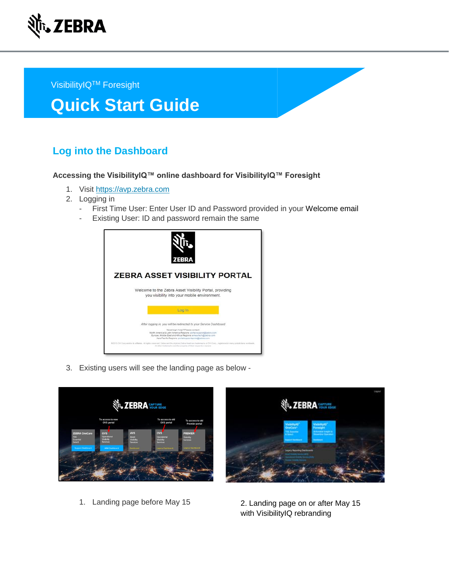

VisibilityIQ<sup>™</sup> Foresight

# **Quick Start Guide**

# **Log into the Dashboard**

#### **Accessing the VisibilityIQ™ online dashboard for VisibilityIQ™ Foresight**

- 1. Visit [https://avp.zebra.com](https://avp.zebra.com/)
- 2. Logging in
	- First Time User: Enter User ID and Password provided in your Welcome email
	- Existing User: ID and password remain the same



3. Existing users will see the landing page as below -





1. Landing page before May 15

2. Landing page on or after May 15 with VisibilityIQ rebranding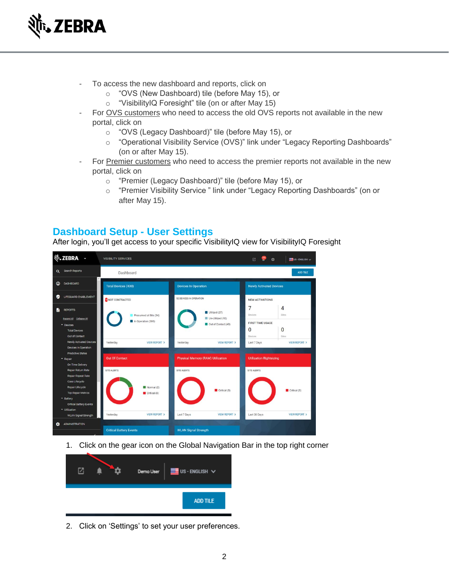

- To access the new dashboard and reports, click on
	- o "OVS (New Dashboard) tile (before May 15), or
	- o "VisibilityIQ Foresight" tile (on or after May 15)
- For OVS customers who need to access the old OVS reports not available in the new portal, click on
	- o "OVS (Legacy Dashboard)" tile (before May 15), or
	- o "Operational Visibility Service (OVS)" link under "Legacy Reporting Dashboards" (on or after May 15).
- For Premier customers who need to access the premier reports not available in the new portal, click on
	- o "Premier (Legacy Dashboard)" tile (before May 15), or
	- o "Premier Visibility Service " link under "Legacy Reporting Dashboards" (on or after May 15).

## **Dashboard Setup - User Settings**

After login, you'll get access to your specific VisibilityIQ view for VisibilityIQ Foresight



1. Click on the gear icon on the Global Navigation Bar in the top right corner



2. Click on 'Settings' to set your user preferences.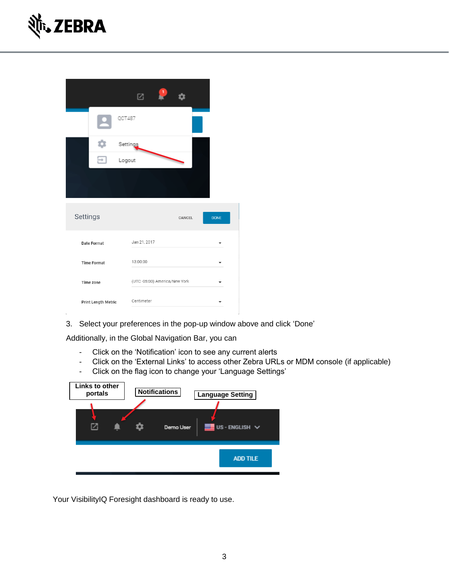

|          |                     | 囜                  |                              |        |             |
|----------|---------------------|--------------------|------------------------------|--------|-------------|
|          |                     | QCT487             |                              |        |             |
|          |                     | Settings<br>Logout |                              |        |             |
|          |                     |                    |                              |        |             |
| Settings |                     |                    |                              | CANCEL | <b>DONE</b> |
|          | Date Format         | Jan 21, 2017       |                              |        |             |
|          | <b>Time Format</b>  | 13:00:00           |                              |        |             |
|          | Time zone           |                    | (UTC-05:00) America/New York |        |             |
|          | Print Length Metric | Centimeter         |                              |        |             |

3. Select your preferences in the pop-up window above and click 'Done'

Additionally, in the Global Navigation Bar, you can

- Click on the 'Notification' icon to see any current alerts
- Click on the 'External Links' to access other Zebra URLs or MDM console (if applicable)
- Click on the flag icon to change your 'Language Settings'

| Links to other<br>portals | <b>Notifications</b> | <b>Language Setting</b> |
|---------------------------|----------------------|-------------------------|
|                           | Demo User            | US - ENGLISH V          |
|                           |                      | <b>ADD TILE</b>         |

Your VisibilityIQ Foresight dashboard is ready to use.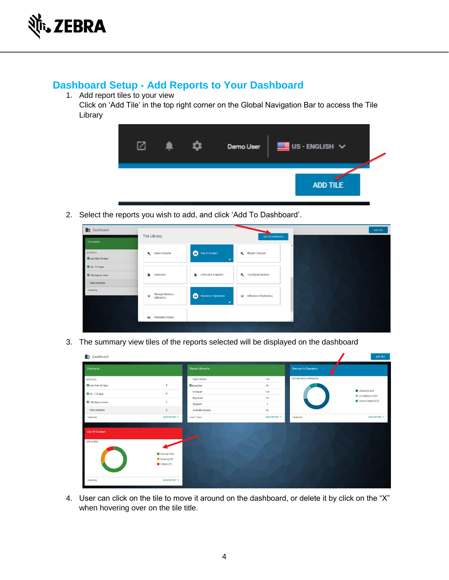

# **Dashboard Setup - Add Reports to Your Dashboard**

1. Add report tiles to your view

Click on 'Add Tile' in the top right corner on the Global Navigation Bar to access the Tile Library



2. Select the reports you wish to add, and click 'Add To Dashboard'.

| <b>En</b> Dashboard                                | Tile Library                       |                                                  |                                     |
|----------------------------------------------------|------------------------------------|--------------------------------------------------|-------------------------------------|
| Contracts                                          |                                    |                                                  | ADD TO DASHBOARD                    |
| <b>EXPIRING</b><br>CLess than 90 days              | Case Lifecycle                     | Θ<br>Out of Contact<br>$\checkmark$              | Repair Lifecycle                    |
| 90-179 days<br>180 days or more<br>Total contracts | B<br>Contracts                     | LifeGuard Analytics                              | Top Repair Metrics                  |
| Yesterday                                          | Storage Memory<br>%<br>Utilization | <b>Devices In Operation</b><br>o<br>$\checkmark$ | <b>Utilization Rightsizing</b><br>% |
|                                                    | <b>III</b> Predictive States       |                                                  |                                     |

3. The summary view tiles of the reports selected will be displayed on the dashboard

| 中<br>Dashboard    |                         |                         |                |                             | ADD TILE                                    |
|-------------------|-------------------------|-------------------------|----------------|-----------------------------|---------------------------------------------|
| Contracts         |                         | <b>Repair Lifecycle</b> |                | <b>Devices In Operation</b> |                                             |
| <b>EXPIRING</b>   |                         | Open Orders             | 120            | 7,077 DEVICES IN OPERATION  |                                             |
| Less than 90 days | $\mathbb O$             | <b>O</b> Expected       | 49             |                             |                                             |
| 90 - 179 days     | $\bf 0$                 | In Repair               | 124            |                             | Utilized (5,083)                            |
|                   |                         | Repaired                | 18             |                             | Un-Utilized (1,321)<br>Out of Contact (673) |
| 180 days or more  | $\overline{2}$          | Shipped                 | $\overline{2}$ |                             |                                             |
| Total contracts   | $\overline{2}$          | Available Spares        | 40             |                             |                                             |
| Yesterday         | <b>VIEW REPORT &gt;</b> | Last 7 Days             | VIEW REPORT >  | Yesterday                   | <b>VIEW REPORT &gt;</b>                     |
| Out Of Contact    |                         |                         |                |                             |                                             |
| SITE ALERTS       |                         |                         |                |                             |                                             |
|                   | Normal (184)            |                         |                |                             |                                             |
|                   | Warning (52)            |                         |                |                             |                                             |
|                   | Critical (27)           |                         |                |                             |                                             |
| Yesterday         | <b>VIEW REPORT &gt;</b> |                         |                |                             |                                             |

4. User can click on the tile to move it around on the dashboard, or delete it by click on the "X" when hovering over on the tile title.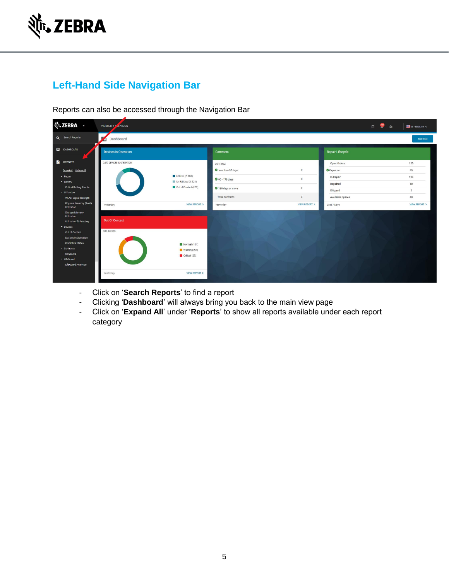

# **Left-Hand Side Navigation Bar**

Reports can also be accessed through the Navigation Bar

| <b>∛<sub>1</sub>, ZEBRA →</b>                                                                                                                                                                                                                   | VISIBILITY SLAVICES                               |                                                                                           |                                                                                                           |                                                                                                 |                                                                                                | $\begin{array}{ccccc}\n\hline\n\end{array}$<br>$\bullet$ | $\blacksquare$ US - ENGLISH $\vee$                                        |
|-------------------------------------------------------------------------------------------------------------------------------------------------------------------------------------------------------------------------------------------------|---------------------------------------------------|-------------------------------------------------------------------------------------------|-----------------------------------------------------------------------------------------------------------|-------------------------------------------------------------------------------------------------|------------------------------------------------------------------------------------------------|----------------------------------------------------------|---------------------------------------------------------------------------|
| Q Search Reports                                                                                                                                                                                                                                | 膧<br>Dashboard                                    |                                                                                           |                                                                                                           |                                                                                                 |                                                                                                |                                                          | ADD TILE                                                                  |
| C DASHBOARD                                                                                                                                                                                                                                     | <b>Devices In Operation</b>                       |                                                                                           | Contracts                                                                                                 |                                                                                                 | <b>Repair Lifecycle</b>                                                                        |                                                          |                                                                           |
| <b>REPORTS</b><br>Expand All Collapse All<br>$\triangleright$ Repair<br>- Battery<br><b>Critical Battery Events</b><br>v Utilization<br><b>WLAN Signal Strength</b><br>Physical Memory (RAM)                                                    | 7,077 DEVICES IN OPERATION<br>Yesterday           | Utilized (5 083)<br>Un-Utilized (1321)<br>Out of Contact (673)<br><b>VIEW REPORT &gt;</b> | <b>EXPIRING</b><br>Less than 90 days<br>90 - 179 days<br>180 days or more<br>Total contracts<br>Yesterday | $\overline{0}$<br>$\overline{0}$<br>$\overline{2}$<br>$\overline{2}$<br><b>VIEW REPORT &gt;</b> | Open Orders<br>Expected<br>In Repair<br>Repaired<br>Shipped<br>Available Spares<br>Last 7 Days |                                                          | 120<br>49<br>124<br>18<br>$\overline{2}$<br>40<br><b>VIEW REPORT &gt;</b> |
| Utilization<br>Storage Memory<br>Utilization<br><b>Utilization Rightsizing</b><br>* Devices<br>Out of Contact<br>Devices In Operation<br><b>Predictive States</b><br>$\sim$ Contracts<br>Contracts<br>▼ LifeGuard<br><b>LifeGuard Analytics</b> | <b>Out Of Contact</b><br>SITE ALERTS<br>Yesterday | Normal (184)<br>Warning (52)<br>Critical (27)<br><b>VIEW REPORT &gt;</b>                  |                                                                                                           |                                                                                                 |                                                                                                |                                                          |                                                                           |

- Click on '**Search Reports**' to find a report
- Clicking '**Dashboard**' will always bring you back to the main view page
- Click on '**Expand All**' under '**Reports**' to show all reports available under each report category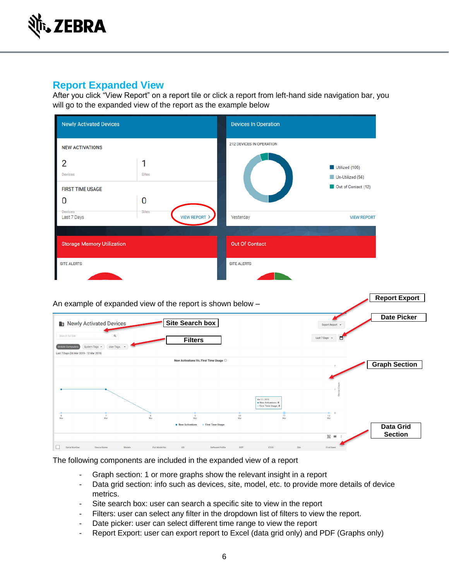

# **Report Expanded View**

After you click "View Report" on a report tile or click a report from left-hand side navigation bar, you will go to the expanded view of the report as the example below

| <b>Newly Activated Devices</b>                      |                               | <b>Devices In Operation</b>     |                                                           |  |
|-----------------------------------------------------|-------------------------------|---------------------------------|-----------------------------------------------------------|--|
| <b>NEW ACTIVATIONS</b>                              |                               | <b>212 DEVICES IN OPERATION</b> |                                                           |  |
| 2<br><b>Devices</b><br><b>FIRST TIME USAGE</b><br>0 | <b>Sites</b><br>0             |                                 | Utilized (106)<br>Un-Utilized (94)<br>Out of Contact (12) |  |
| Devices<br>Last 7 Days                              | <b>Sites</b><br>VIEW REPORT > | Yesterday                       | <b>VIEW REPORT</b>                                        |  |
| <b>Storage Memory Utilization</b>                   |                               | <b>Out Of Contact</b>           |                                                           |  |
| <b>SITE ALERTS</b>                                  |                               | <b>SITE ALERTS</b>              |                                                           |  |
|                                                     |                               |                                 |                                                           |  |



The following components are included in the expanded view of a report

- Graph section: 1 or more graphs show the relevant insight in a report
- Data grid section: info such as devices, site, model, etc. to provide more details of device metrics.
- Site search box: user can search a specific site to view in the report
- Filters: user can select any filter in the dropdown list of filters to view the report.
- Date picker: user can select different time range to view the report
- Report Export: user can export report to Excel (data grid only) and PDF (Graphs only)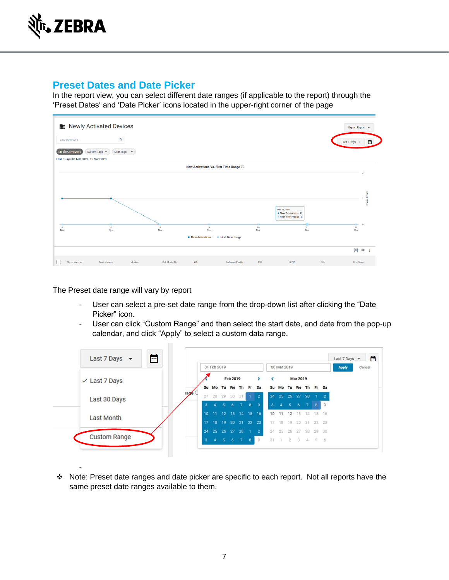

#### **Preset Dates and Date Picker**

In the report view, you can select different date ranges (if applicable to the report) through the 'Preset Dates' and 'Date Picker' icons located in the upper-right corner of the page

| Search for Site                                             | $\alpha$                                 |                     |                                              |                  |                         |                                                                    | 茴<br>Last 7 Days +          |
|-------------------------------------------------------------|------------------------------------------|---------------------|----------------------------------------------|------------------|-------------------------|--------------------------------------------------------------------|-----------------------------|
| Mobile Computers<br>Last 7 Days (06 Mar 2019 - 12 Mar 2019) | System Tags +<br>User Tags $\rightarrow$ |                     |                                              |                  |                         |                                                                    |                             |
|                                                             |                                          |                     | New Activations Vs. First Time Usage $\odot$ |                  |                         |                                                                    |                             |
|                                                             |                                          |                     |                                              |                  |                         |                                                                    |                             |
|                                                             |                                          |                     |                                              |                  |                         |                                                                    |                             |
|                                                             |                                          |                     |                                              |                  |                         |                                                                    | Device Count                |
|                                                             |                                          |                     |                                              |                  |                         | Mar 11, 2019<br>. New Activations: 0<br><b>First Time Usage: 0</b> |                             |
|                                                             | $\tau$<br>Mar                            | $\mathbf{s}$<br>Mar | $\overline{9}$<br>Mar                        |                  | 10 <sub>10</sub><br>Mar | $\overline{\mathbf{1}}$<br>Mar                                     | $\blacksquare$<br>12<br>Mar |
|                                                             |                                          |                     | <b>New Activations</b>                       | First Time Usage |                         |                                                                    |                             |
|                                                             |                                          |                     |                                              |                  |                         |                                                                    |                             |

The Preset date range will vary by report

-

- User can select a pre-set date range from the drop-down list after clicking the "Date Picker" icon.
- User can click "Custom Range" and then select the start date, end date from the pop-up calendar, and click "Apply" to select a custom data range.



❖ Note: Preset date ranges and date picker are specific to each report. Not all reports have the same preset date ranges available to them.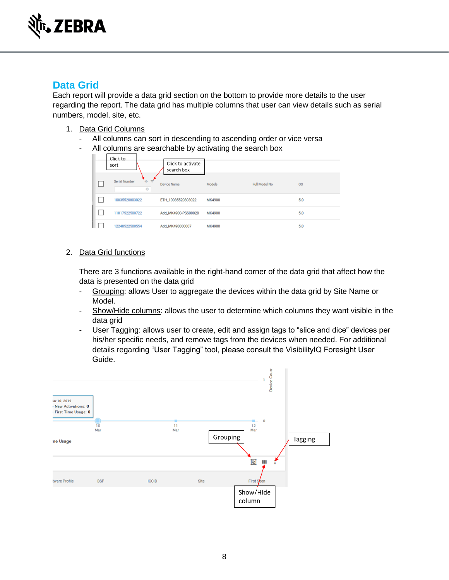

## **Data Grid**

Each report will provide a data grid section on the bottom to provide more details to the user regarding the report. The data grid has multiple columns that user can view details such as serial numbers, model, site, etc.

- 1. Data Grid Columns
	- All columns can sort in descending to ascending order or vice versa
	- All columns are searchable by activating the search box

| Click to<br>sort                                | Click to activate<br>search box |        |                      |           |
|-------------------------------------------------|---------------------------------|--------|----------------------|-----------|
| <b>Serial Number</b><br>$+$ $\equiv$<br>$\circ$ | Device Name                     | Models | <b>Full Model No</b> | <b>OS</b> |
| 10035520803022                                  | ETH_10035520803022              | MK4900 |                      | 5.0       |
| 11017522500722                                  | Add_MK4900-PSS00020             | MK4900 |                      | 5.0       |
| 12248522500554                                  | Add_MK490000007                 | MK4900 |                      | 5.0       |

2. Data Grid functions

There are 3 functions available in the right-hand corner of the data grid that affect how the data is presented on the data grid

- Grouping: allows User to aggregate the devices within the data grid by Site Name or Model.
- Show/Hide columns: allows the user to determine which columns they want visible in the data grid
- User Tagging: allows user to create, edit and assign tags to "slice and dice" devices per his/her specific needs, and remove tags from the devices when needed. For additional details regarding "User Tagging" tool, please consult the VisibilityIQ Foresight User Guide.

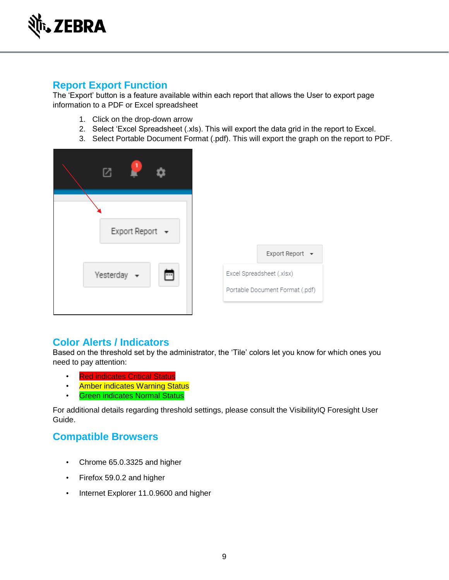

## **Report Export Function**

The 'Export' button is a feature available within each report that allows the User to export page information to a PDF or Excel spreadsheet

- 1. Click on the drop-down arrow
- 2. Select 'Excel Spreadsheet (.xls). This will export the data grid in the report to Excel.
- 3. Select Portable Document Format (.pdf). This will export the graph on the report to PDF.

| ٦                                          |                                                                                 |
|--------------------------------------------|---------------------------------------------------------------------------------|
| Export Report +                            |                                                                                 |
| Yesterday<br>$\overline{\phantom{a}}$<br>m | Export Report ▼<br>Excel Spreadsheet (.xlsx)<br>Portable Document Format (.pdf) |

#### **Color Alerts / Indicators**

Based on the threshold set by the administrator, the 'Tile' colors let you know for which ones you need to pay attention:

- Red indicates Critical Status
- Amber indicates Warning Status
- Green indicates Normal Status

For additional details regarding threshold settings, please consult the VisibilityIQ Foresight User Guide.

#### **Compatible Browsers**

- Chrome 65.0.3325 and higher
- Firefox 59.0.2 and higher
- Internet Explorer 11.0.9600 and higher